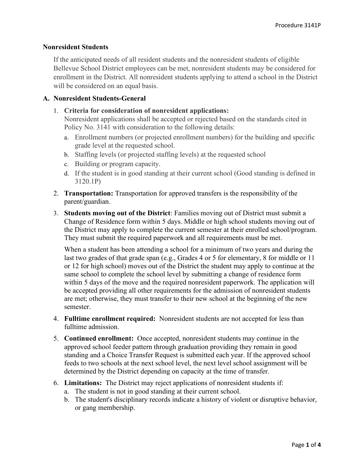## Nonresident Students

If the anticipated needs of all resident students and the nonresident students of eligible Bellevue School District employees can be met, nonresident students may be considered for enrollment in the District. All nonresident students applying to attend a school in the District will be considered on an equal basis.

## A. Nonresident Students-General

1. Criteria for consideration of nonresident applications:

Nonresident applications shall be accepted or rejected based on the standards cited in Policy No. 3141 with consideration to the following details:

- a. Enrollment numbers (or projected enrollment numbers) for the building and specific grade level at the requested school.
- b. Staffing levels (or projected staffing levels) at the requested school
- c. Building or program capacity.
- d. If the student is in good standing at their current school (Good standing is defined in 3120.1P)
- 2. Transportation: Transportation for approved transfers is the responsibility of the parent/guardian.
- 3. Students moving out of the District: Families moving out of District must submit a Change of Residence form within 5 days. Middle or high school students moving out of the District may apply to complete the current semester at their enrolled school/program. They must submit the required paperwork and all requirements must be met.

When a student has been attending a school for a minimum of two years and during the last two grades of that grade span (e.g., Grades 4 or 5 for elementary, 8 for middle or 11 or 12 for high school) moves out of the District the student may apply to continue at the same school to complete the school level by submitting a change of residence form within 5 days of the move and the required nonresident paperwork. The application will be accepted providing all other requirements for the admission of nonresident students are met; otherwise, they must transfer to their new school at the beginning of the new semester.

- 4. Fulltime enrollment required: Nonresident students are not accepted for less than fulltime admission.
- 5. Continued enrollment: Once accepted, nonresident students may continue in the approved school feeder pattern through graduation providing they remain in good standing and a Choice Transfer Request is submitted each year. If the approved school feeds to two schools at the next school level, the next level school assignment will be determined by the District depending on capacity at the time of transfer.
- 6. Limitations: The District may reject applications of nonresident students if:
	- a. The student is not in good standing at their current school.
	- b. The student's disciplinary records indicate a history of violent or disruptive behavior, or gang membership.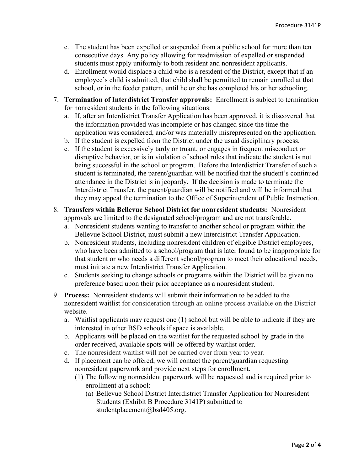- c. The student has been expelled or suspended from a public school for more than ten consecutive days. Any policy allowing for readmission of expelled or suspended students must apply uniformly to both resident and nonresident applicants.
- d. Enrollment would displace a child who is a resident of the District, except that if an employee's child is admitted, that child shall be permitted to remain enrolled at that school, or in the feeder pattern, until he or she has completed his or her schooling.
- 7. Termination of Interdistrict Transfer approvals: Enrollment is subject to termination for nonresident students in the following situations:
	- a. If, after an Interdistrict Transfer Application has been approved, it is discovered that the information provided was incomplete or has changed since the time the application was considered, and/or was materially misrepresented on the application.
	- b. If the student is expelled from the District under the usual disciplinary process.
	- c. If the student is excessively tardy or truant, or engages in frequent misconduct or disruptive behavior, or is in violation of school rules that indicate the student is not being successful in the school or program. Before the Interdistrict Transfer of such a student is terminated, the parent/guardian will be notified that the student's continued attendance in the District is in jeopardy. If the decision is made to terminate the Interdistrict Transfer, the parent/guardian will be notified and will be informed that they may appeal the termination to the Office of Superintendent of Public Instruction.
- 8. Transfers within Bellevue School District for nonresident students: Nonresident approvals are limited to the designated school/program and are not transferable.
	- a. Nonresident students wanting to transfer to another school or program within the Bellevue School District, must submit a new Interdistrict Transfer Application.
	- b. Nonresident students, including nonresident children of eligible District employees, who have been admitted to a school/program that is later found to be inappropriate for that student or who needs a different school/program to meet their educational needs, must initiate a new Interdistrict Transfer Application.
	- c. Students seeking to change schools or programs within the District will be given no preference based upon their prior acceptance as a nonresident student.
- 9. Process: Nonresident students will submit their information to be added to the nonresident waitlist for consideration through an online process available on the District website.
	- a. Waitlist applicants may request one (1) school but will be able to indicate if they are interested in other BSD schools if space is available.
	- b. Applicants will be placed on the waitlist for the requested school by grade in the order received, available spots will be offered by waitlist order.
	- c. The nonresident waitlist will not be carried over from year to year.
	- d. If placement can be offered, we will contact the parent/guardian requesting nonresident paperwork and provide next steps for enrollment.
		- (1) The following nonresident paperwork will be requested and is required prior to enrollment at a school:
			- (a) Bellevue School District Interdistrict Transfer Application for Nonresident Students (Exhibit B Procedure 3141P) submitted to studentplacement@bsd405.org.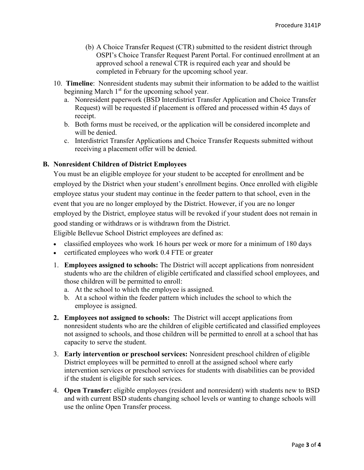- (b) A Choice Transfer Request (CTR) submitted to the resident district through OSPI's [Choice Transfer Request Parent Portal. F](https://eds.ospi.k12.wa.us/ChoiceTransferRequest)or continued enrollment at an approved school a renewal CTR is required each year and should be completed in February for the upcoming school year.
- 10. Timeline: Nonresident students may submit their information to be added to the waitlist beginning March  $1<sup>st</sup>$  for the upcoming school year.
	- a. Nonresident paperwork (BSD Interdistrict Transfer Application and Choice Transfer Request) will be requested if placement is offered and processed within 45 days of receipt.
	- b. Both forms must be received, or the application will be considered incomplete and will be denied.
	- c. Interdistrict Transfer Applications and Choice Transfer Requests submitted without receiving a placement offer will be denied.

## **B.** Nonresident Children of District Employees

You must be an eligible employee for your student to be accepted for enrollment and be employed by the District when your student's enrollment begins. Once enrolled with eligible employee status your student may continue in the feeder pattern to that school, even in the event that you are no longer employed by the District. However, if you are no longer employed by the District, employee status will be revoked if your student does not remain in good standing or withdraws or is withdrawn from the District.

Eligible Bellevue School District employees are defined as:

- classified employees who work 16 hours per week or more for a minimum of 180 days
- certificated employees who work 0.4 FTE or greater
- 1. Employees assigned to schools: The District will accept applications from nonresident students who are the children of eligible certificated and classified school employees, and those children will be permitted to enroll:
	- a. At the school to which the employee is assigned.
	- b. At a school within the feeder pattern which includes the school to which the employee is assigned.
- 2. Employees not assigned to schools: The District will accept applications from nonresident students who are the children of eligible certificated and classified employees not assigned to schools, and those children will be permitted to enroll at a school that has capacity to serve the student.
- 3. Early intervention or preschool services: Nonresident preschool children of eligible District employees will be permitted to enroll at the assigned school where early intervention services or preschool services for students with disabilities can be provided if the student is eligible for such services.
- 4. Open Transfer: eligible employees (resident and nonresident) with students new to BSD and with current BSD students changing school levels or wanting to change schools will use the online Open Transfer process.